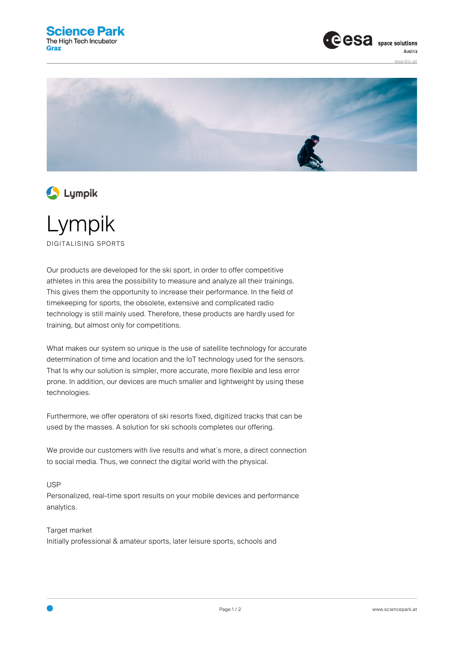





Lympik DIGITALISING SPORTS

Our products are developed for the ski sport, in order to offer competitive athletes in this area the possibility to measure and analyze all their trainings. This gives them the opportunity to increase their performance. In the field of timekeeping for sports, the obsolete, extensive and complicated radio technology is still mainly used. Therefore, these products are hardly used for training, but almost only for competitions.

What makes our system so unique is the use of satellite technology for accurate determination of time and location and the IoT technology used for the sensors. That Is why our solution is simpler, more accurate, more flexible and less error prone. In addition, our devices are much smaller and lightweight by using these technologies.

Furthermore, we offer operators of ski resorts fixed, digitized tracks that can be used by the masses. A solution for ski schools completes our offering.

We provide our customers with live results and what's more, a direct connection to social media. Thus, we connect the digital world with the physical.

USP

Personalized, real-time sport results on your mobile devices and performance analytics.

Target market Initially professional & amateur sports, later leisure sports, schools and